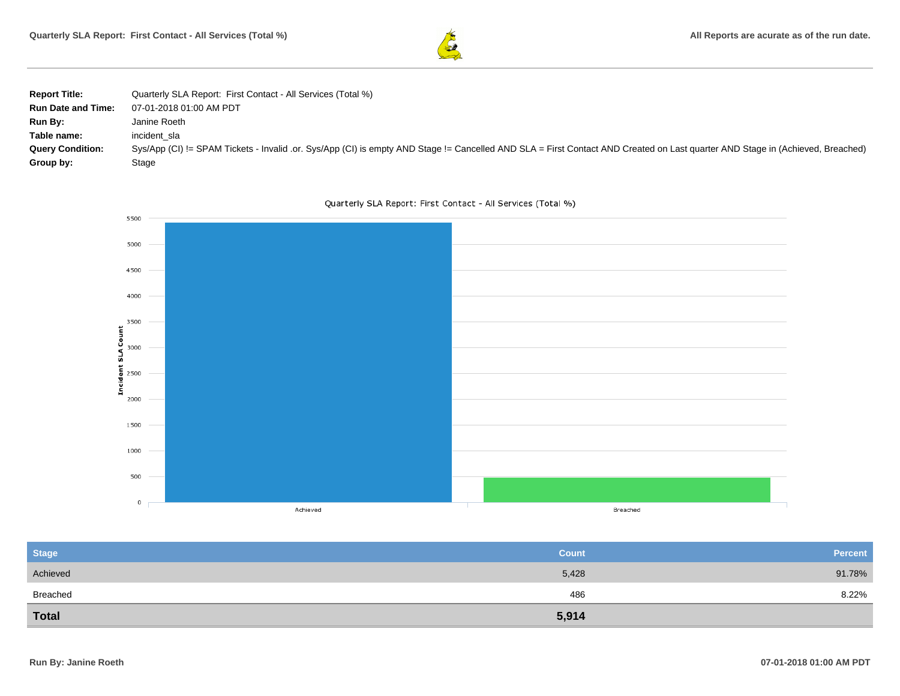

| <b>Report Title:</b>      | Quarterly SLA Report: First Contact - All Services (Total %)                                                                                                                   |
|---------------------------|--------------------------------------------------------------------------------------------------------------------------------------------------------------------------------|
| <b>Run Date and Time:</b> | 07-01-2018 01:00 AM PDT                                                                                                                                                        |
| Run By:                   | Janine Roeth                                                                                                                                                                   |
| Table name:               | incident sla                                                                                                                                                                   |
| <b>Query Condition:</b>   | Sys/App (CI) != SPAM Tickets - Invalid .or. Sys/App (CI) is empty AND Stage != Cancelled AND SLA = First Contact AND Created on Last quarter AND Stage in (Achieved, Breached) |
| Group by:                 | Stage                                                                                                                                                                          |



Quarterly SLA Report: First Contact - All Services (Total %)

| <b>Stage</b> | <b>Count</b> | <b>Percent</b> |
|--------------|--------------|----------------|
| Achieved     | 5,428        | 91.78%         |
| Breached     | 486          | 8.22%          |
| <b>Total</b> | 5,914        |                |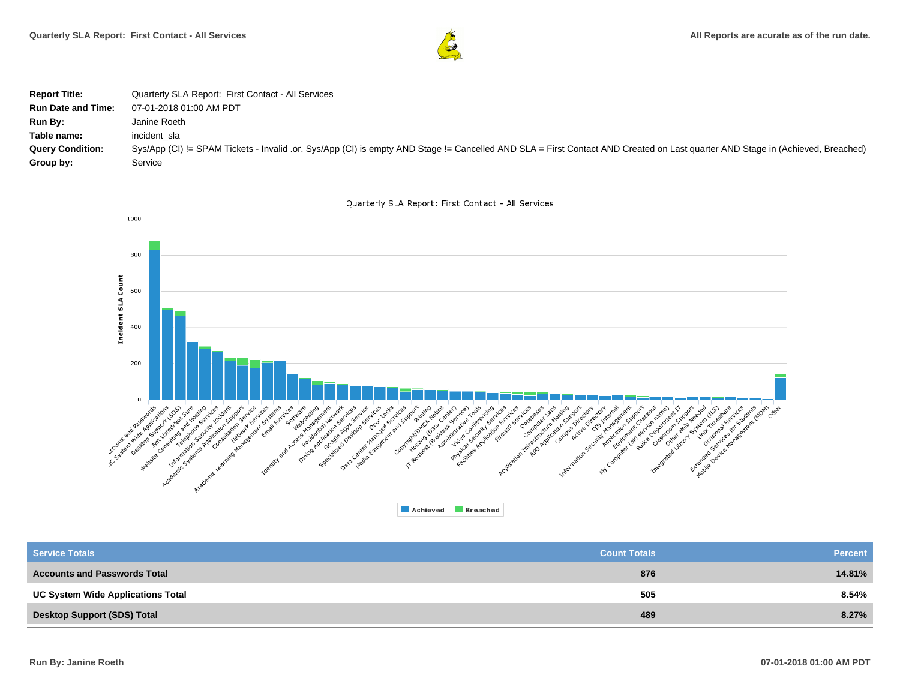

| <b>Report Title:</b>      | Quarterly SLA Report: First Contact - All Services                                                                                                                             |
|---------------------------|--------------------------------------------------------------------------------------------------------------------------------------------------------------------------------|
| <b>Run Date and Time:</b> | 07-01-2018 01:00 AM PDT                                                                                                                                                        |
| Run By:                   | Janine Roeth                                                                                                                                                                   |
| Table name:               | incident sla                                                                                                                                                                   |
| <b>Query Condition:</b>   | Sys/App (CI) != SPAM Tickets - Invalid .or. Sys/App (CI) is empty AND Stage != Cancelled AND SLA = First Contact AND Created on Last quarter AND Stage in (Achieved, Breached) |
| Group by:                 | Service                                                                                                                                                                        |





| Achieved<br><b>Breached</b> |
|-----------------------------|
|-----------------------------|

| <b>Service Totals</b>                    | <b>Count Totals</b> | <b>Percent</b> |
|------------------------------------------|---------------------|----------------|
| <b>Accounts and Passwords Total</b>      | 876                 | 14.81%         |
| <b>UC System Wide Applications Total</b> | 505                 | 8.54%          |
| <b>Desktop Support (SDS) Total</b>       | 489                 | 8.27%          |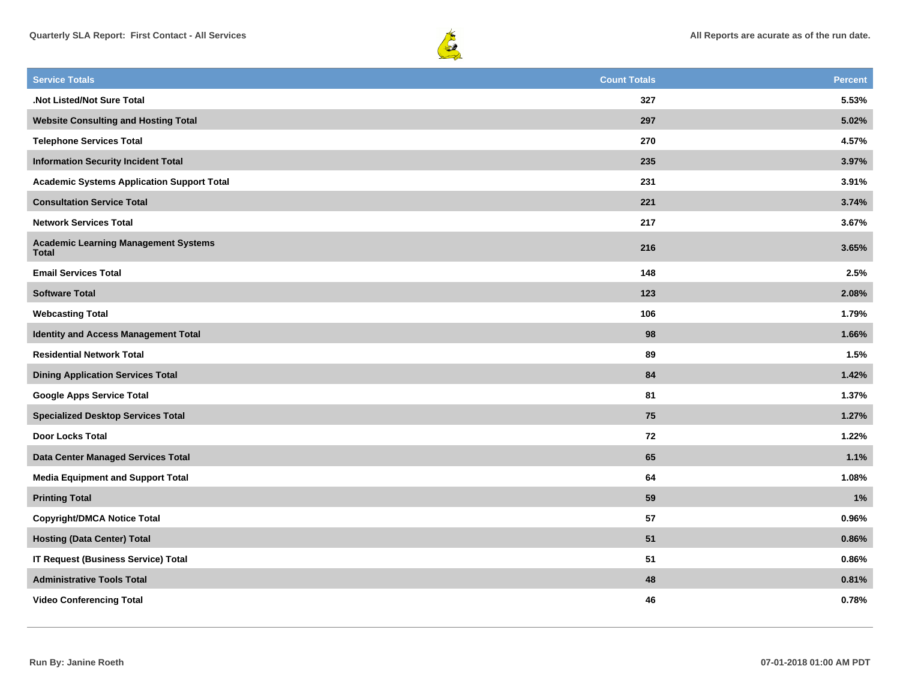



| <b>Service Totals</b>                                       | <b>Count Totals</b> | <b>Percent</b> |
|-------------------------------------------------------------|---------------------|----------------|
| .Not Listed/Not Sure Total                                  | 327                 | 5.53%          |
| <b>Website Consulting and Hosting Total</b>                 | 297                 | 5.02%          |
| <b>Telephone Services Total</b>                             | 270                 | 4.57%          |
| <b>Information Security Incident Total</b>                  | 235                 | 3.97%          |
| <b>Academic Systems Application Support Total</b>           | 231                 | 3.91%          |
| <b>Consultation Service Total</b>                           | 221                 | 3.74%          |
| <b>Network Services Total</b>                               | 217                 | 3.67%          |
| <b>Academic Learning Management Systems</b><br><b>Total</b> | 216                 | 3.65%          |
| <b>Email Services Total</b>                                 | 148                 | 2.5%           |
| <b>Software Total</b>                                       | 123                 | 2.08%          |
| <b>Webcasting Total</b>                                     | 106                 | 1.79%          |
| Identity and Access Management Total                        | 98                  | 1.66%          |
| <b>Residential Network Total</b>                            | 89                  | 1.5%           |
| <b>Dining Application Services Total</b>                    | 84                  | 1.42%          |
| <b>Google Apps Service Total</b>                            | 81                  | 1.37%          |
| <b>Specialized Desktop Services Total</b>                   | 75                  | 1.27%          |
| <b>Door Locks Total</b>                                     | 72                  | 1.22%          |
| Data Center Managed Services Total                          | 65                  | 1.1%           |
| <b>Media Equipment and Support Total</b>                    | 64                  | 1.08%          |
| <b>Printing Total</b>                                       | 59                  | 1%             |
| <b>Copyright/DMCA Notice Total</b>                          | 57                  | 0.96%          |
| <b>Hosting (Data Center) Total</b>                          | 51                  | 0.86%          |
| <b>IT Request (Business Service) Total</b>                  | 51                  | 0.86%          |
| <b>Administrative Tools Total</b>                           | 48                  | 0.81%          |
| <b>Video Conferencing Total</b>                             | 46                  | 0.78%          |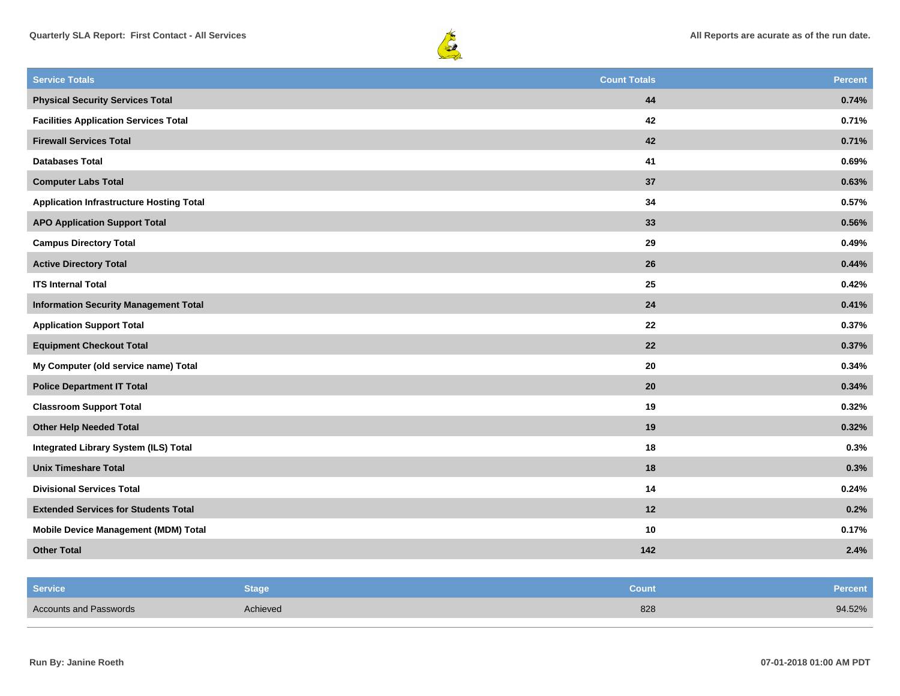



| <b>Service Totals</b>                           | <b>Count Totals</b> | <b>Percent</b> |
|-------------------------------------------------|---------------------|----------------|
| <b>Physical Security Services Total</b>         | $\bf 44$            | 0.74%          |
| <b>Facilities Application Services Total</b>    | 42                  | 0.71%          |
| <b>Firewall Services Total</b>                  | 42                  | 0.71%          |
| <b>Databases Total</b>                          | 41                  | 0.69%          |
| <b>Computer Labs Total</b>                      | 37                  | 0.63%          |
| <b>Application Infrastructure Hosting Total</b> | 34                  | 0.57%          |
| <b>APO Application Support Total</b>            | 33                  | 0.56%          |
| <b>Campus Directory Total</b>                   | 29                  | 0.49%          |
| <b>Active Directory Total</b>                   | 26                  | 0.44%          |
| <b>ITS Internal Total</b>                       | 25                  | 0.42%          |
| <b>Information Security Management Total</b>    | 24                  | 0.41%          |
| <b>Application Support Total</b>                | 22                  | 0.37%          |
| <b>Equipment Checkout Total</b>                 | 22                  | 0.37%          |
| My Computer (old service name) Total            | 20                  | 0.34%          |
| <b>Police Department IT Total</b>               | 20                  | 0.34%          |
| <b>Classroom Support Total</b>                  | 19                  | 0.32%          |
| <b>Other Help Needed Total</b>                  | 19                  | 0.32%          |
| <b>Integrated Library System (ILS) Total</b>    | 18                  | 0.3%           |
| <b>Unix Timeshare Total</b>                     | 18                  | 0.3%           |
| <b>Divisional Services Total</b>                | 14                  | 0.24%          |
| <b>Extended Services for Students Total</b>     | 12                  | 0.2%           |
| Mobile Device Management (MDM) Total            | 10                  | 0.17%          |
| <b>Other Total</b>                              | 142                 | 2.4%           |

| <b>Service</b><br>Stage            | Count | Percent |
|------------------------------------|-------|---------|
| Achieved<br>Accounts and Passwords | 828   | 94.52%  |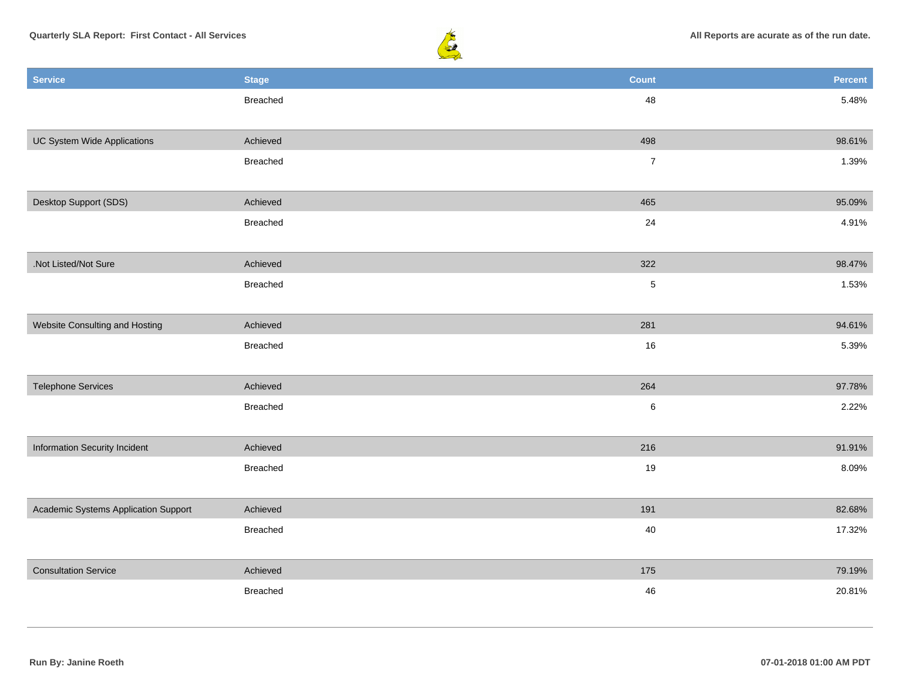

| 48<br>Breached<br>5.48%<br>UC System Wide Applications<br>498<br>98.61%<br>Achieved<br>$\boldsymbol{7}$<br>Breached<br>1.39%<br>Desktop Support (SDS)<br>465<br>Achieved<br>95.09%<br>24<br>4.91%<br>Breached<br>.Not Listed/Not Sure<br>322<br>98.47%<br>Achieved<br>$\sqrt{5}$<br>Breached<br>1.53%<br>Website Consulting and Hosting<br>281<br>Achieved<br>94.61% |
|----------------------------------------------------------------------------------------------------------------------------------------------------------------------------------------------------------------------------------------------------------------------------------------------------------------------------------------------------------------------|
|                                                                                                                                                                                                                                                                                                                                                                      |
|                                                                                                                                                                                                                                                                                                                                                                      |
|                                                                                                                                                                                                                                                                                                                                                                      |
|                                                                                                                                                                                                                                                                                                                                                                      |
|                                                                                                                                                                                                                                                                                                                                                                      |
|                                                                                                                                                                                                                                                                                                                                                                      |
|                                                                                                                                                                                                                                                                                                                                                                      |
|                                                                                                                                                                                                                                                                                                                                                                      |
|                                                                                                                                                                                                                                                                                                                                                                      |
|                                                                                                                                                                                                                                                                                                                                                                      |
|                                                                                                                                                                                                                                                                                                                                                                      |
|                                                                                                                                                                                                                                                                                                                                                                      |
| $16\,$<br>5.39%<br>Breached                                                                                                                                                                                                                                                                                                                                          |
|                                                                                                                                                                                                                                                                                                                                                                      |
| 264<br><b>Telephone Services</b><br>Achieved<br>97.78%                                                                                                                                                                                                                                                                                                               |
| $\,6\,$<br>2.22%<br>Breached                                                                                                                                                                                                                                                                                                                                         |
|                                                                                                                                                                                                                                                                                                                                                                      |
| 216<br>Information Security Incident<br>91.91%<br>Achieved                                                                                                                                                                                                                                                                                                           |
| 19<br>8.09%<br>Breached                                                                                                                                                                                                                                                                                                                                              |
|                                                                                                                                                                                                                                                                                                                                                                      |
| 191<br>Academic Systems Application Support<br>Achieved<br>82.68%                                                                                                                                                                                                                                                                                                    |
| 40<br>17.32%<br>Breached                                                                                                                                                                                                                                                                                                                                             |
| <b>Consultation Service</b>                                                                                                                                                                                                                                                                                                                                          |
| Achieved<br>175<br>79.19%                                                                                                                                                                                                                                                                                                                                            |
| 46<br>20.81%<br>Breached                                                                                                                                                                                                                                                                                                                                             |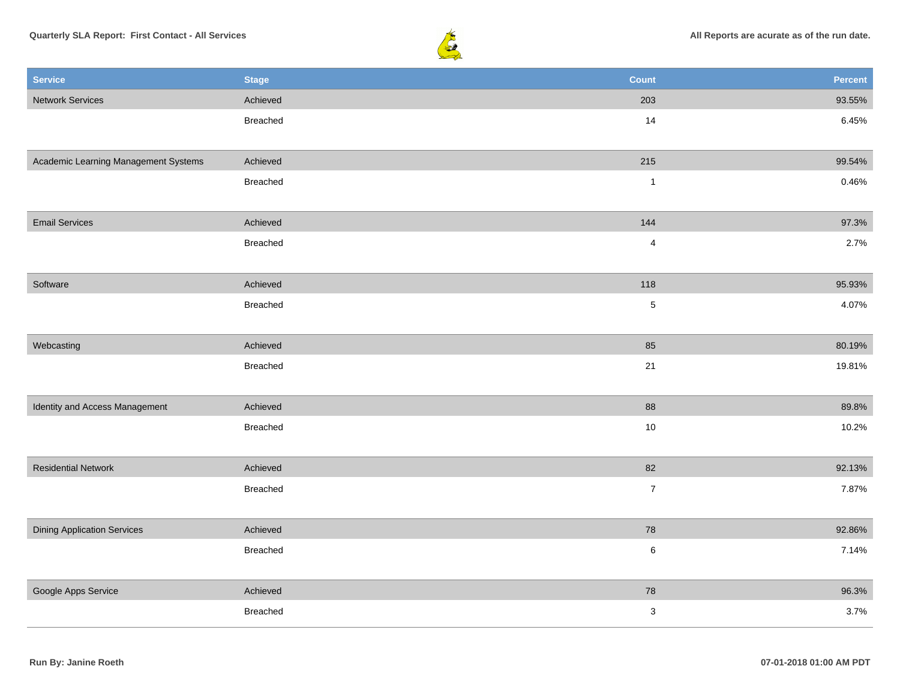

| <b>Service</b>                       | <b>Stage</b>    | <b>Count</b>   | Percent |
|--------------------------------------|-----------------|----------------|---------|
| <b>Network Services</b>              | Achieved        | 203            | 93.55%  |
|                                      | Breached        | 14             | 6.45%   |
|                                      |                 |                |         |
| Academic Learning Management Systems | Achieved        | 215            | 99.54%  |
|                                      | <b>Breached</b> | $\mathbf{1}$   | 0.46%   |
|                                      |                 |                |         |
| <b>Email Services</b>                | Achieved        | 144            | 97.3%   |
|                                      | <b>Breached</b> | $\overline{4}$ | 2.7%    |
|                                      |                 |                |         |
| Software                             | Achieved        | 118            | 95.93%  |
|                                      | <b>Breached</b> | $\sqrt{5}$     | 4.07%   |
|                                      |                 |                |         |
| Webcasting                           | Achieved        | 85             | 80.19%  |
|                                      | <b>Breached</b> | 21             | 19.81%  |
|                                      |                 |                |         |
| Identity and Access Management       | Achieved        | 88             | 89.8%   |
|                                      | Breached        | $10\,$         | 10.2%   |
|                                      |                 |                |         |
| <b>Residential Network</b>           | Achieved        | 82             | 92.13%  |
|                                      | Breached        | $\overline{7}$ | 7.87%   |
|                                      |                 |                |         |
| <b>Dining Application Services</b>   | Achieved        | 78             | 92.86%  |
|                                      | <b>Breached</b> | $\,6\,$        | 7.14%   |
|                                      |                 |                |         |
| Google Apps Service                  | Achieved        | 78             | 96.3%   |
|                                      | Breached        | $\mathbf 3$    | 3.7%    |
|                                      |                 |                |         |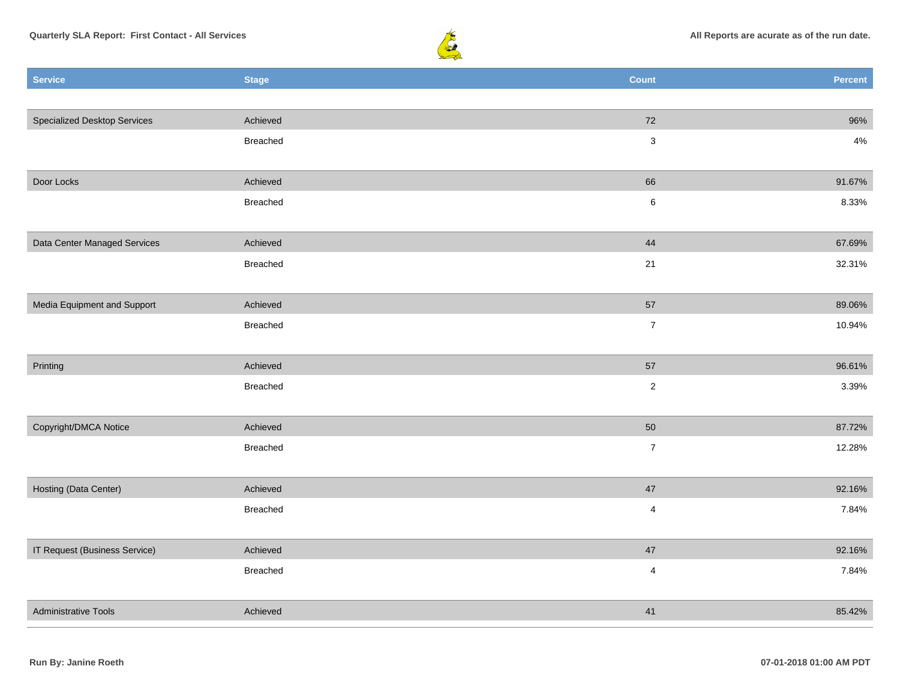



| <b>Service</b>                      | <b>Stage</b> | <b>Count</b>     | Percent |
|-------------------------------------|--------------|------------------|---------|
|                                     |              |                  |         |
| <b>Specialized Desktop Services</b> | Achieved     | 72               | 96%     |
|                                     | Breached     | $\mathbf{3}$     | $4\%$   |
|                                     |              |                  |         |
| Door Locks                          | Achieved     | 66               | 91.67%  |
|                                     | Breached     | $\,6\,$          | 8.33%   |
|                                     |              |                  |         |
| Data Center Managed Services        | Achieved     | 44               | 67.69%  |
|                                     | Breached     | $21$             | 32.31%  |
|                                     |              |                  |         |
| Media Equipment and Support         | Achieved     | 57               | 89.06%  |
|                                     | Breached     | $\boldsymbol{7}$ | 10.94%  |
|                                     |              |                  |         |
| Printing                            | Achieved     | 57               | 96.61%  |
|                                     | Breached     | $\overline{2}$   | 3.39%   |
|                                     |              |                  |         |
| Copyright/DMCA Notice               | Achieved     | 50               | 87.72%  |
|                                     | Breached     | $\boldsymbol{7}$ | 12.28%  |
| Hosting (Data Center)               | Achieved     | 47               | 92.16%  |
|                                     | Breached     | $\overline{4}$   | 7.84%   |
|                                     |              |                  |         |
| IT Request (Business Service)       | Achieved     | $47\,$           | 92.16%  |
|                                     | Breached     | $\overline{4}$   | 7.84%   |
|                                     |              |                  |         |
| <b>Administrative Tools</b>         | Achieved     | 41               | 85.42%  |
|                                     |              |                  |         |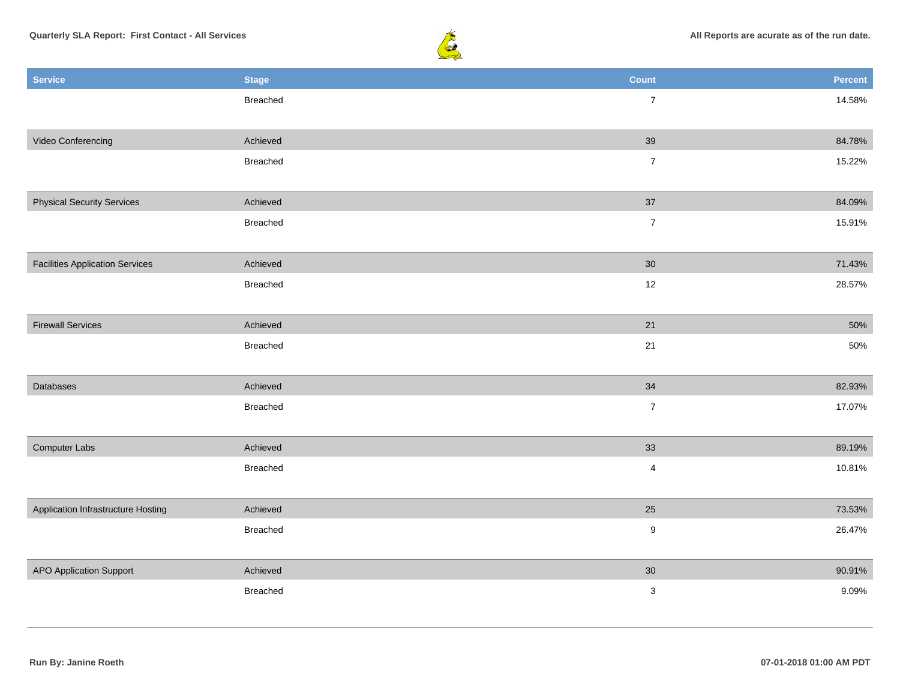

| <b>Service</b>                         | <b>Stage</b> | Count            | Percent |
|----------------------------------------|--------------|------------------|---------|
|                                        | Breached     | $\overline{7}$   | 14.58%  |
|                                        |              |                  |         |
| Video Conferencing                     | Achieved     | 39               | 84.78%  |
|                                        | Breached     | $\boldsymbol{7}$ | 15.22%  |
|                                        |              |                  |         |
| <b>Physical Security Services</b>      | Achieved     | 37               | 84.09%  |
|                                        | Breached     | $\overline{7}$   | 15.91%  |
|                                        |              |                  |         |
| <b>Facilities Application Services</b> | Achieved     | 30               | 71.43%  |
|                                        | Breached     | 12               | 28.57%  |
|                                        |              |                  |         |
| <b>Firewall Services</b>               | Achieved     | 21               | 50%     |
|                                        | Breached     | 21               | 50%     |
|                                        |              |                  |         |
| Databases                              | Achieved     | 34               | 82.93%  |
|                                        | Breached     | $\boldsymbol{7}$ | 17.07%  |
|                                        |              |                  |         |
| Computer Labs                          | Achieved     | 33               | 89.19%  |
|                                        | Breached     | $\overline{4}$   | 10.81%  |
|                                        |              |                  |         |
| Application Infrastructure Hosting     | Achieved     | 25               | 73.53%  |
|                                        | Breached     | $\boldsymbol{9}$ | 26.47%  |
|                                        |              |                  |         |
| <b>APO Application Support</b>         | Achieved     | $30\,$           | 90.91%  |
|                                        | Breached     | $\mathbf 3$      | 9.09%   |
|                                        |              |                  |         |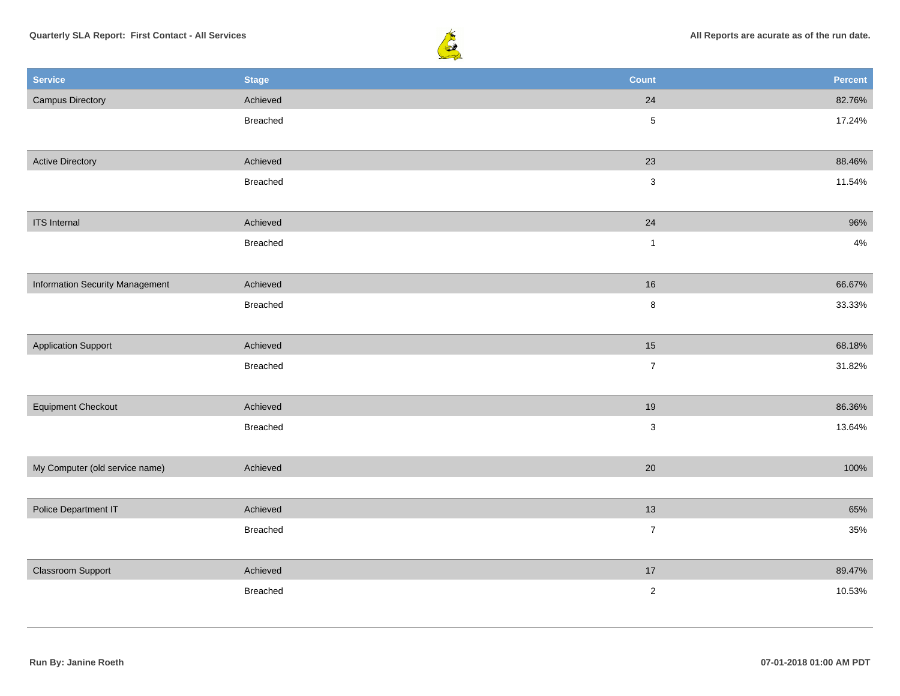

| <b>Service</b>                         | <b>Stage</b> | <b>Count</b>   | Percent |
|----------------------------------------|--------------|----------------|---------|
| <b>Campus Directory</b>                | Achieved     | 24             | 82.76%  |
|                                        | Breached     | $\overline{5}$ | 17.24%  |
|                                        |              |                |         |
| <b>Active Directory</b>                | Achieved     | 23             | 88.46%  |
|                                        | Breached     | $\mathbf{3}$   | 11.54%  |
|                                        |              |                |         |
| <b>ITS</b> Internal                    | Achieved     | 24             | 96%     |
|                                        | Breached     | $\mathbf{1}$   | $4\%$   |
|                                        |              |                |         |
| <b>Information Security Management</b> | Achieved     | 16             | 66.67%  |
|                                        | Breached     | $\bf8$         | 33.33%  |
|                                        |              |                |         |
| <b>Application Support</b>             | Achieved     | 15             | 68.18%  |
|                                        | Breached     | $\overline{7}$ | 31.82%  |
|                                        |              |                |         |
| <b>Equipment Checkout</b>              | Achieved     | $19$           | 86.36%  |
|                                        | Breached     | $\mathbf{3}$   | 13.64%  |
|                                        |              |                |         |
| My Computer (old service name)         | Achieved     | 20             | 100%    |
|                                        |              |                |         |
| Police Department IT                   | Achieved     | 13             | 65%     |
|                                        | Breached     | $\overline{7}$ | 35%     |
|                                        |              |                |         |
| <b>Classroom Support</b>               | Achieved     | $17$           | 89.47%  |
|                                        | Breached     | $\overline{2}$ | 10.53%  |
|                                        |              |                |         |